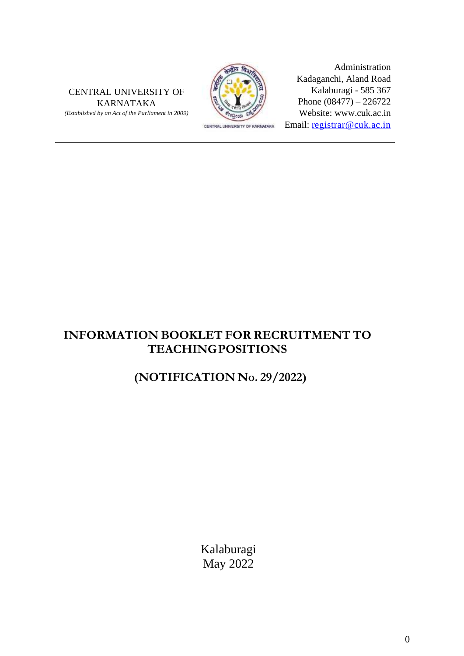CENTRAL UNIVERSITY OF KARNATAKA *(Established by an Act of the Parliament in 2009)*



Administration Kadaganchi, Aland Road Kalaburagi - 585 367 Phone (08477) – 226722 Website: www.cuk.ac.in Email: [registrar@cuk.ac.in](mailto:registrar@cuk.ac.in)

## **INFORMATION BOOKLET FOR RECRUITMENT TO TEACHINGPOSITIONS**

## **(NOTIFICATION No. 29/2022)**

Kalaburagi May 2022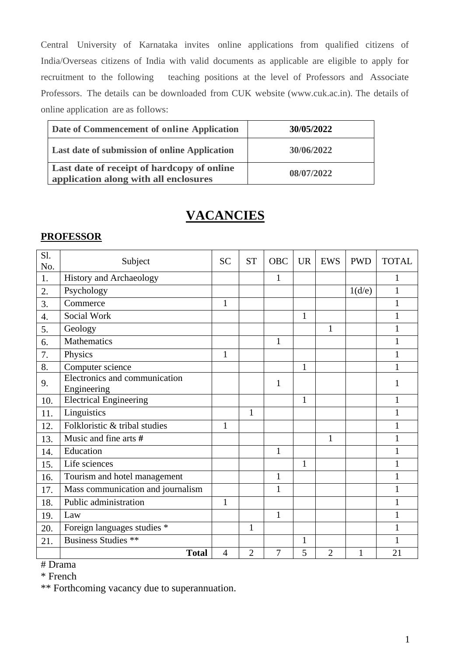Central University of Karnataka invites online applications from qualified citizens of India/Overseas citizens of India with valid documents as applicable are eligible to apply for recruitment to the following teaching positions at the level of Professors and Associate Professors. The details can be downloaded from CUK website (www.cuk.ac.in). The details of online application are as follows:

| Date of Commencement of online Application                                          | 30/05/2022 |
|-------------------------------------------------------------------------------------|------------|
| Last date of submission of online Application                                       | 30/06/2022 |
| Last date of receipt of hardcopy of online<br>application along with all enclosures | 08/07/2022 |

## **VACANCIES**

## **PROFESSOR**

| Sl.<br>No.       | Subject                                      | <b>SC</b>      | <b>ST</b>      | <b>OBC</b>     | <b>UR</b>    | <b>EWS</b>     | <b>PWD</b> | <b>TOTAL</b> |
|------------------|----------------------------------------------|----------------|----------------|----------------|--------------|----------------|------------|--------------|
| 1.               | <b>History and Archaeology</b>               |                |                | $\mathbf{1}$   |              |                |            | 1            |
| 2.               | Psychology                                   |                |                |                |              |                | 1(d/e)     | $\mathbf{1}$ |
| 3.               | Commerce                                     | $\mathbf{1}$   |                |                |              |                |            | 1            |
| $\overline{4}$ . | Social Work                                  |                |                |                | $\mathbf{1}$ |                |            | 1            |
| 5.               | Geology                                      |                |                |                |              | 1              |            | 1            |
| 6.               | <b>Mathematics</b>                           |                |                | $\mathbf{1}$   |              |                |            | 1            |
| 7.               | Physics                                      | $\mathbf{1}$   |                |                |              |                |            | 1            |
| 8.               | Computer science                             |                |                |                | 1            |                |            | 1            |
| 9.               | Electronics and communication<br>Engineering |                |                | 1              |              |                |            | 1            |
| 10.              | <b>Electrical Engineering</b>                |                |                |                | $\mathbf{1}$ |                |            | 1            |
| 11.              | Linguistics                                  |                | $\mathbf{1}$   |                |              |                |            | 1            |
| 12.              | Folkloristic & tribal studies                | 1              |                |                |              |                |            | 1            |
| 13.              | Music and fine arts #                        |                |                |                |              | $\mathbf{1}$   |            | 1            |
| 14.              | Education                                    |                |                | $\mathbf{1}$   |              |                |            | $\mathbf{1}$ |
| 15.              | Life sciences                                |                |                |                | 1            |                |            | 1            |
| 16.              | Tourism and hotel management                 |                |                | 1              |              |                |            | 1            |
| 17.              | Mass communication and journalism            |                |                | $\mathbf{1}$   |              |                |            | 1            |
| 18.              | Public administration                        | $\mathbf{1}$   |                |                |              |                |            | 1            |
| 19.              | Law                                          |                |                | $\mathbf{1}$   |              |                |            | 1            |
| 20.              | Foreign languages studies *                  |                | 1              |                |              |                |            | 1            |
| 21.              | <b>Business Studies **</b>                   |                |                |                | $\mathbf{1}$ |                |            | 1            |
|                  | <b>Total</b>                                 | $\overline{4}$ | $\overline{2}$ | $\overline{7}$ | 5            | $\overline{2}$ | 1          | 21           |

# Drama

\* French

\*\* Forthcoming vacancy due to superannuation.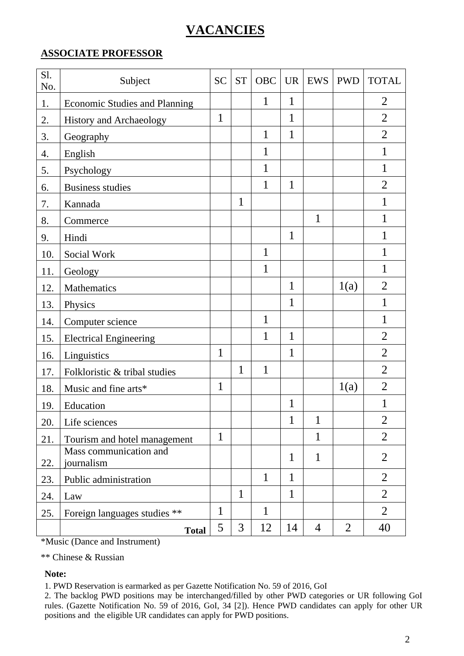# **VACANCIES**

## **ASSOCIATE PROFESSOR**

| Sl.<br>No. | Subject                              | <b>SC</b>    | <b>ST</b>    | <b>OBC</b>   | <b>UR</b>    | <b>EWS</b>     | <b>PWD</b>     | <b>TOTAL</b>   |
|------------|--------------------------------------|--------------|--------------|--------------|--------------|----------------|----------------|----------------|
| 1.         | <b>Economic Studies and Planning</b> |              |              | 1            | $\mathbf 1$  |                |                | $\overline{2}$ |
| 2.         | History and Archaeology              | $\mathbf{1}$ |              |              | 1            |                |                | $\overline{2}$ |
| 3.         | Geography                            |              |              | 1            | $\mathbf{1}$ |                |                | $\overline{2}$ |
| 4.         | English                              |              |              | 1            |              |                |                | 1              |
| 5.         | Psychology                           |              |              | 1            |              |                |                | 1              |
| 6.         | <b>Business studies</b>              |              |              | 1            | $\mathbf{1}$ |                |                | $\overline{2}$ |
| 7.         | Kannada                              |              | 1            |              |              |                |                | 1              |
| 8.         | Commerce                             |              |              |              |              | $\mathbf{1}$   |                | 1              |
| 9.         | Hindi                                |              |              |              | $\mathbf{1}$ |                |                | 1              |
| 10.        | Social Work                          |              |              | 1            |              |                |                | 1              |
| 11.        | Geology                              |              |              | 1            |              |                |                | 1              |
| 12.        | <b>Mathematics</b>                   |              |              |              | 1            |                | 1(a)           | $\overline{2}$ |
| 13.        | Physics                              |              |              |              | $\mathbf{1}$ |                |                | $\mathbf{1}$   |
| 14.        | Computer science                     |              |              | $\mathbf{1}$ |              |                |                | $\mathbf{1}$   |
| 15.        | <b>Electrical Engineering</b>        |              |              | $\mathbf{1}$ | $\mathbf{1}$ |                |                | $\overline{2}$ |
| 16.        | Linguistics                          | 1            |              |              | 1            |                |                | $\overline{2}$ |
| 17.        | Folkloristic & tribal studies        |              | 1            | 1            |              |                |                | $\overline{2}$ |
| 18.        | Music and fine arts*                 | $\mathbf{1}$ |              |              |              |                | 1(a)           | $\overline{2}$ |
| 19.        | Education                            |              |              |              | $\mathbf{1}$ |                |                | 1              |
| 20.        | Life sciences                        |              |              |              | 1            | 1              |                | $\overline{2}$ |
| 21.        | Tourism and hotel management         | $\mathbf{1}$ |              |              |              | 1              |                | $\overline{2}$ |
| 22.        | Mass communication and<br>journalism |              |              |              | $\mathbf{1}$ | $\mathbf{1}$   |                | $\overline{2}$ |
| 23.        | Public administration                |              |              | 1            | 1            |                |                | $\overline{2}$ |
| 24.        | Law                                  |              | $\mathbf{1}$ |              | $\mathbf{1}$ |                |                | $\overline{2}$ |
| 25.        | Foreign languages studies **         | $\mathbf 1$  |              | $\mathbf{1}$ |              |                |                | $\overline{2}$ |
|            | <b>Total</b>                         | 5            | 3            | 12           | 14           | $\overline{4}$ | $\overline{2}$ | 40             |

\*Music (Dance and Instrument)

\*\* Chinese & Russian

#### **Note:**

1. PWD Reservation is earmarked as per Gazette Notification No. 59 of 2016, GoI

2. The backlog PWD positions may be interchanged/filled by other PWD categories or UR following GoI rules. (Gazette Notification No. 59 of 2016, GoI, 34 [2]). Hence PWD candidates can apply for other UR positions and the eligible UR candidates can apply for PWD positions.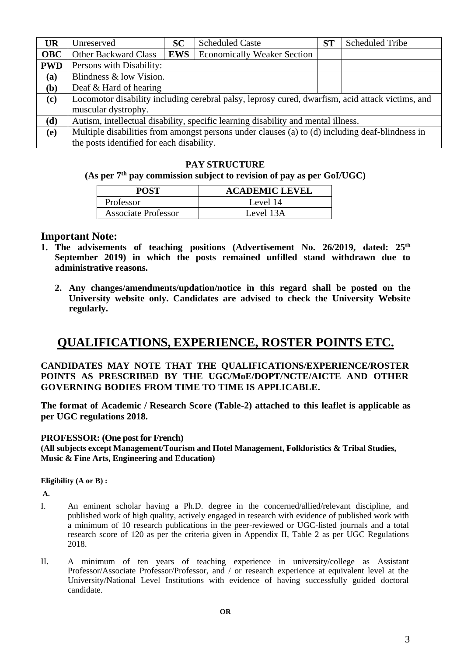| <b>UR</b>  | Unreserved                                                                                       | <b>SC</b>                                        | <b>Scheduled Caste</b> | ST | <b>Scheduled Tribe</b> |  |
|------------|--------------------------------------------------------------------------------------------------|--------------------------------------------------|------------------------|----|------------------------|--|
| <b>OBC</b> | <b>Other Backward Class</b>                                                                      | <b>EWS</b><br><b>Economically Weaker Section</b> |                        |    |                        |  |
| <b>PWD</b> | Persons with Disability:                                                                         |                                                  |                        |    |                        |  |
| (a)        | Blindness & low Vision.                                                                          |                                                  |                        |    |                        |  |
| (b)        | Deaf $&$ Hard of hearing                                                                         |                                                  |                        |    |                        |  |
| (c)        | Locomotor disability including cerebral palsy, leprosy cured, dwarfism, acid attack victims, and |                                                  |                        |    |                        |  |
|            | muscular dystrophy.                                                                              |                                                  |                        |    |                        |  |
| (d)        | Autism, intellectual disability, specific learning disability and mental illness.                |                                                  |                        |    |                        |  |
| (e)        | Multiple disabilities from amongst persons under clauses (a) to (d) including deaf-blindness in  |                                                  |                        |    |                        |  |
|            | the posts identified for each disability.                                                        |                                                  |                        |    |                        |  |

#### **PAY STRUCTURE**

## **(As per 7th pay commission subject to revision of pay as per GoI/UGC)**

| POST                       | <b>ACADEMIC LEVEL</b> |
|----------------------------|-----------------------|
| Professor                  | Level 14              |
| <b>Associate Professor</b> | Level 13A             |

#### **Important Note:**

- **1. The advisements of teaching positions (Advertisement No. 26/2019, dated: 25th September 2019) in which the posts remained unfilled stand withdrawn due to administrative reasons.**
	- **2. Any changes/amendments/updation/notice in this regard shall be posted on the University website only. Candidates are advised to check the University Website regularly.**

## **QUALIFICATIONS, EXPERIENCE, ROSTER POINTS ETC.**

#### **CANDIDATES MAY NOTE THAT THE QUALIFICATIONS/EXPERIENCE/ROSTER POINTS AS PRESCRIBED BY THE UGC/MoE/DOPT/NCTE/AICTE AND OTHER GOVERNING BODIES FROM TIME TO TIME IS APPLICABLE.**

**The format of Academic / Research Score (Table-2) attached to this leaflet is applicable as per UGC regulations 2018.**

#### **PROFESSOR: (One post for French)**

**(All subjects except Management/Tourism and Hotel Management, Folkloristics & Tribal Studies, Music & Fine Arts, Engineering and Education)**

#### **Eligibility (A or B) :**

#### **A.**

- I. An eminent scholar having a Ph.D. degree in the concerned/allied/relevant discipline, and published work of high quality, actively engaged in research with evidence of published work with a minimum of 10 research publications in the peer-reviewed or UGC-listed journals and a total research score of 120 as per the criteria given in Appendix II, Table 2 as per UGC Regulations 2018.
- II. A minimum of ten years of teaching experience in university/college as Assistant Professor/Associate Professor/Professor, and / or research experience at equivalent level at the University/National Level Institutions with evidence of having successfully guided doctoral candidate.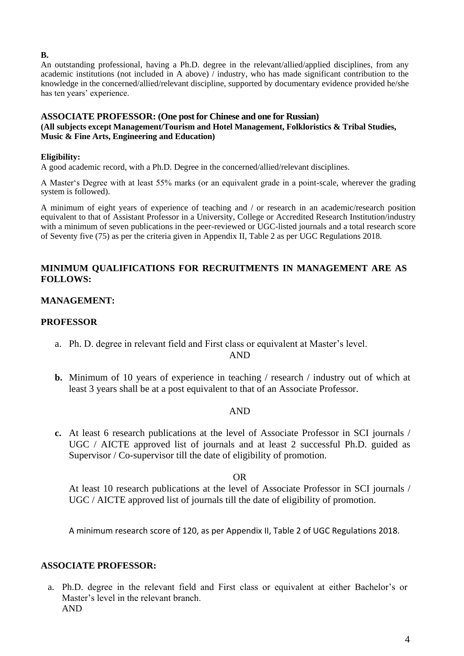#### **B.**

An outstanding professional, having a Ph.D. degree in the relevant/allied/applied disciplines, from any academic institutions (not included in A above) / industry, who has made significant contribution to the knowledge in the concerned/allied/relevant discipline, supported by documentary evidence provided he/she has ten years' experience.

#### **ASSOCIATE PROFESSOR: (One post for Chinese and one for Russian) (All subjects except Management/Tourism and Hotel Management, Folkloristics & Tribal Studies, Music & Fine Arts, Engineering and Education)**

## **Eligibility:**

A good academic record, with a Ph.D. Degree in the concerned/allied/relevant disciplines.

A Master's Degree with at least 55% marks (or an equivalent grade in a point-scale, wherever the grading system is followed).

A minimum of eight years of experience of teaching and / or research in an academic/research position equivalent to that of Assistant Professor in a University, College or Accredited Research Institution/industry with a minimum of seven publications in the peer-reviewed or UGC-listed journals and a total research score of Seventy five (75) as per the criteria given in Appendix II, Table 2 as per UGC Regulations 2018.

## **MINIMUM QUALIFICATIONS FOR RECRUITMENTS IN MANAGEMENT ARE AS FOLLOWS:**

## **MANAGEMENT:**

## **PROFESSOR**

a. Ph. D. degree in relevant field and First class or equivalent at Master's level.

AND

**b.** Minimum of 10 years of experience in teaching / research / industry out of which at least 3 years shall be at a post equivalent to that of an Associate Professor.

## AND

**c.** At least 6 research publications at the level of Associate Professor in SCI journals / UGC / AICTE approved list of journals and at least 2 successful Ph.D. guided as Supervisor / Co-supervisor till the date of eligibility of promotion.

OR

At least 10 research publications at the level of Associate Professor in SCI journals / UGC / AICTE approved list of journals till the date of eligibility of promotion.

A minimum research score of 120, as per Appendix II, Table 2 of UGC Regulations 2018.

## **ASSOCIATE PROFESSOR:**

a. Ph.D. degree in the relevant field and First class or equivalent at either Bachelor's or Master's level in the relevant branch. AND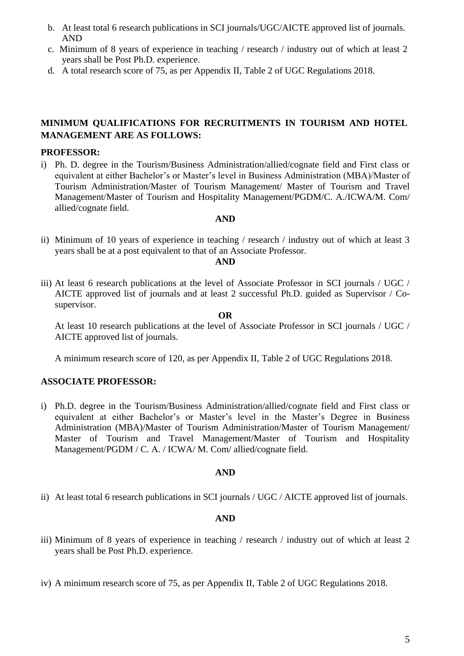- b. At least total 6 research publications in SCI journals/UGC/AICTE approved list of journals. AND
- c. Minimum of 8 years of experience in teaching / research / industry out of which at least 2 years shall be Post Ph.D. experience.
- d. A total research score of 75, as per Appendix II, Table 2 of UGC Regulations 2018.

## **MINIMUM QUALIFICATIONS FOR RECRUITMENTS IN TOURISM AND HOTEL MANAGEMENT ARE AS FOLLOWS:**

#### **PROFESSOR:**

i) Ph. D. degree in the Tourism/Business Administration/allied/cognate field and First class or equivalent at either Bachelor's or Master's level in Business Administration (MBA)/Master of Tourism Administration/Master of Tourism Management/ Master of Tourism and Travel Management/Master of Tourism and Hospitality Management/PGDM/C. A./ICWA/M. Com/ allied/cognate field.

#### **AND**

ii) Minimum of 10 years of experience in teaching / research / industry out of which at least 3 years shall be at a post equivalent to that of an Associate Professor.

#### **AND**

iii) At least 6 research publications at the level of Associate Professor in SCI journals / UGC / AICTE approved list of journals and at least 2 successful Ph.D. guided as Supervisor / Cosupervisor.

#### **OR**

 At least 10 research publications at the level of Associate Professor in SCI journals / UGC / AICTE approved list of journals.

A minimum research score of 120, as per Appendix II, Table 2 of UGC Regulations 2018.

## **ASSOCIATE PROFESSOR:**

i) Ph.D. degree in the Tourism/Business Administration/allied/cognate field and First class or equivalent at either Bachelor's or Master's level in the Master's Degree in Business Administration (MBA)/Master of Tourism Administration/Master of Tourism Management/ Master of Tourism and Travel Management/Master of Tourism and Hospitality Management/PGDM / C. A. / ICWA/ M. Com/ allied/cognate field.

#### **AND**

ii) At least total 6 research publications in SCI journals / UGC / AICTE approved list of journals.

#### **AND**

- iii) Minimum of 8 years of experience in teaching / research / industry out of which at least 2 years shall be Post Ph.D. experience.
- iv) A minimum research score of 75, as per Appendix II, Table 2 of UGC Regulations 2018.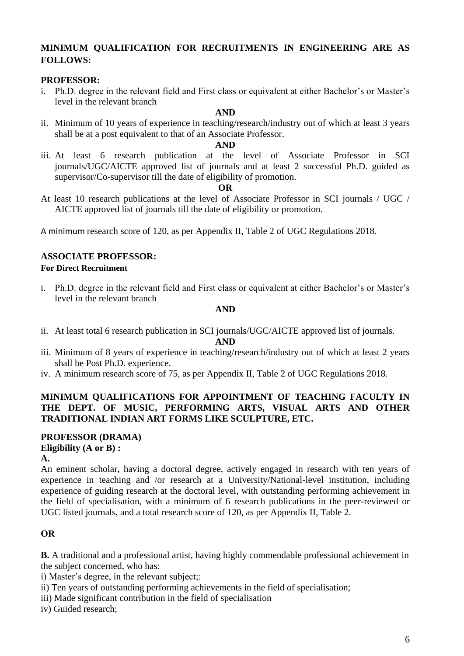## **MINIMUM QUALIFICATION FOR RECRUITMENTS IN ENGINEERING ARE AS FOLLOWS:**

#### **PROFESSOR:**

i. Ph.D. degree in the relevant field and First class or equivalent at either Bachelor's or Master's level in the relevant branch

#### **AND**

ii. Minimum of 10 years of experience in teaching/research/industry out of which at least 3 years shall be at a post equivalent to that of an Associate Professor.

#### **AND**

iii. At least 6 research publication at the level of Associate Professor in SCI journals/UGC/AICTE approved list of journals and at least 2 successful Ph.D. guided as supervisor/Co-supervisor till the date of eligibility of promotion.

#### **OR**

At least 10 research publications at the level of Associate Professor in SCI journals / UGC / AICTE approved list of journals till the date of eligibility or promotion.

A minimum research score of 120, as per Appendix II, Table 2 of UGC Regulations 2018.

## **ASSOCIATE PROFESSOR:**

#### **For Direct Recruitment**

i. Ph.D. degree in the relevant field and First class or equivalent at either Bachelor's or Master's level in the relevant branch

#### **AND**

ii. At least total 6 research publication in SCI journals/UGC/AICTE approved list of journals.

#### **AND**

- iii. Minimum of 8 years of experience in teaching/research/industry out of which at least 2 years shall be Post Ph.D. experience.
- iv. A minimum research score of 75, as per Appendix II, Table 2 of UGC Regulations 2018.

## **MINIMUM QUALIFICATIONS FOR APPOINTMENT OF TEACHING FACULTY IN THE DEPT. OF MUSIC, PERFORMING ARTS, VISUAL ARTS AND OTHER TRADITIONAL INDIAN ART FORMS LIKE SCULPTURE, ETC.**

#### **PROFESSOR (DRAMA) Eligibility (A or B) :**

#### **A.**

An eminent scholar, having a doctoral degree, actively engaged in research with ten years of experience in teaching and /or research at a University/National-level institution, including experience of guiding research at the doctoral level, with outstanding performing achievement in the field of specialisation, with a minimum of 6 research publications in the peer-reviewed or UGC listed journals, and a total research score of 120, as per Appendix II, Table 2.

## **OR**

**B.** A traditional and a professional artist, having highly commendable professional achievement in the subject concerned, who has:

i) Master's degree, in the relevant subject;:

ii) Ten years of outstanding performing achievements in the field of specialisation;

- iii) Made significant contribution in the field of specialisation
- iv) Guided research;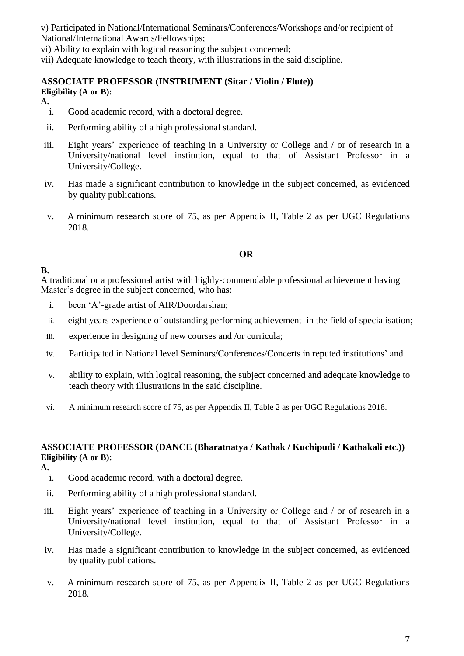v) Participated in National/International Seminars/Conferences/Workshops and/or recipient of National/International Awards/Fellowships;

vi) Ability to explain with logical reasoning the subject concerned;

vii) Adequate knowledge to teach theory, with illustrations in the said discipline.

# **ASSOCIATE PROFESSOR (INSTRUMENT (Sitar / Violin / Flute))**

#### **Eligibility (A or B): A.**

- i. Good academic record, with a doctoral degree.
- ii. Performing ability of a high professional standard.
- iii. Eight years' experience of teaching in a University or College and / or of research in a University/national level institution, equal to that of Assistant Professor in a University/College.
- iv. Has made a significant contribution to knowledge in the subject concerned, as evidenced by quality publications.
- v. A minimum research score of 75, as per Appendix II, Table 2 as per UGC Regulations 2018.

## **OR**

## **B.**

A traditional or a professional artist with highly-commendable professional achievement having Master's degree in the subject concerned, who has:

- i. been 'A'-grade artist of AIR/Doordarshan;
- ii. eight years experience of outstanding performing achievement in the field of specialisation;
- iii. experience in designing of new courses and /or curricula;
- iv. Participated in National level Seminars/Conferences/Concerts in reputed institutions' and
- v. ability to explain, with logical reasoning, the subject concerned and adequate knowledge to teach theory with illustrations in the said discipline.
- vi. A minimum research score of 75, as per Appendix II, Table 2 as per UGC Regulations 2018.

#### **ASSOCIATE PROFESSOR (DANCE (Bharatnatya / Kathak / Kuchipudi / Kathakali etc.)) Eligibility (A or B):**

**A.**

- i. Good academic record, with a doctoral degree.
- ii. Performing ability of a high professional standard.
- iii. Eight years' experience of teaching in a University or College and / or of research in a University/national level institution, equal to that of Assistant Professor in a University/College.
- iv. Has made a significant contribution to knowledge in the subject concerned, as evidenced by quality publications.
- v. A minimum research score of 75, as per Appendix II, Table 2 as per UGC Regulations 2018.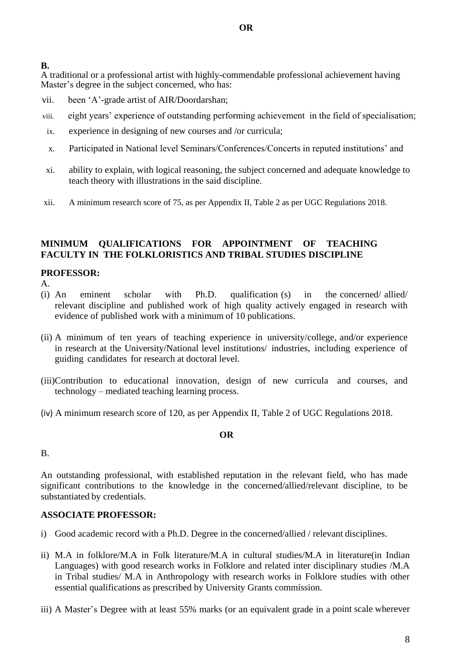**B.** 

A traditional or a professional artist with highly-commendable professional achievement having Master's degree in the subject concerned, who has:

- vii. been 'A'-grade artist of AIR/Doordarshan;
- viii. eight years' experience of outstanding performing achievement in the field of specialisation;
- ix. experience in designing of new courses and /or curricula;
- x. Participated in National level Seminars/Conferences/Concerts in reputed institutions' and
- xi. ability to explain, with logical reasoning, the subject concerned and adequate knowledge to teach theory with illustrations in the said discipline.
- xii. A minimum research score of 75, as per Appendix II, Table 2 as per UGC Regulations 2018.

## **MINIMUM QUALIFICATIONS FOR APPOINTMENT OF TEACHING FACULTY IN THE FOLKLORISTICS AND TRIBAL STUDIES DISCIPLINE**

## **PROFESSOR:**

- A.
- (i) An eminent scholar with Ph.D. qualification (s) in the concerned/ allied/ relevant discipline and published work of high quality actively engaged in research with evidence of published work with a minimum of 10 publications.
- (ii) A minimum of ten years of teaching experience in university/college, and/or experience in research at the University/National level institutions/ industries, including experience of guiding candidates for research at doctoral level.
- (iii)Contribution to educational innovation, design of new curricula and courses, and technology – mediated teaching learning process.
- (iv) A minimum research score of 120, as per Appendix II, Table 2 of UGC Regulations 2018.

## **OR**

## B.

An outstanding professional, with established reputation in the relevant field, who has made significant contributions to the knowledge in the concerned/allied/relevant discipline, to be substantiated by credentials.

## **ASSOCIATE PROFESSOR:**

- i) Good academic record with a Ph.D. Degree in the concerned/allied / relevant disciplines.
- ii) M.A in folklore/M.A in Folk literature/M.A in cultural studies/M.A in literature(in Indian Languages) with good research works in Folklore and related inter disciplinary studies /M.A in Tribal studies/ M.A in Anthropology with research works in Folklore studies with other essential qualifications as prescribed by University Grants commission.
- iii) A Master's Degree with at least 55% marks (or an equivalent grade in a point scale wherever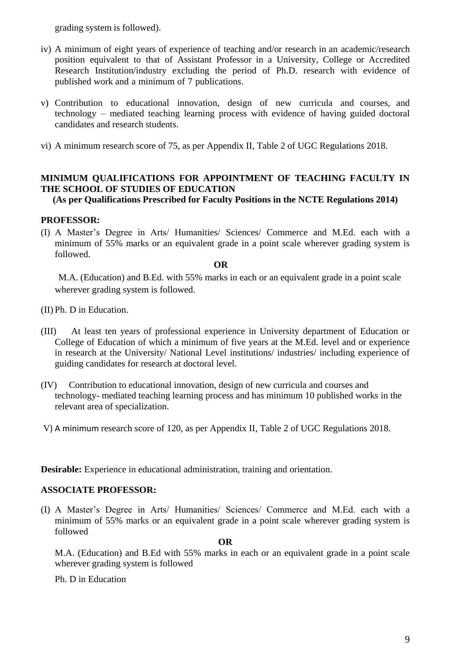grading system is followed).

- iv) A minimum of eight years of experience of teaching and/or research in an academic/research position equivalent to that of Assistant Professor in a University, College or Accredited Research Institution/industry excluding the period of Ph.D. research with evidence of published work and a minimum of 7 publications.
- v) Contribution to educational innovation, design of new curricula and courses, and technology – mediated teaching learning process with evidence of having guided doctoral candidates and research students.
- vi) A minimum research score of 75, as per Appendix II, Table 2 of UGC Regulations 2018.

## **MINIMUM QUALIFICATIONS FOR APPOINTMENT OF TEACHING FACULTY IN THE SCHOOL OF STUDIES OF EDUCATION**

**(As per Qualifications Prescribed for Faculty Positions in the NCTE Regulations 2014)**

## **PROFESSOR:**

(I) A Master's Degree in Arts/ Humanities/ Sciences/ Commerce and M.Ed. each with a minimum of 55% marks or an equivalent grade in a point scale wherever grading system is followed.

#### **OR**

M.A. (Education) and B.Ed. with 55% marks in each or an equivalent grade in a point scale wherever grading system is followed.

- (II) Ph. D in Education.
- (III) At least ten years of professional experience in University department of Education or College of Education of which a minimum of five years at the M.Ed. level and or experience in research at the University/ National Level institutions/ industries/ including experience of guiding candidates for research at doctoral level.
- (IV) Contribution to educational innovation, design of new curricula and courses and technology- mediated teaching learning process and has minimum 10 published works in the relevant area of specialization.
- V) A minimum research score of 120, as per Appendix II, Table 2 of UGC Regulations 2018.

**Desirable:** Experience in educational administration, training and orientation.

## **ASSOCIATE PROFESSOR:**

(I) A Master's Degree in Arts/ Humanities/ Sciences/ Commerce and M.Ed. each with a minimum of 55% marks or an equivalent grade in a point scale wherever grading system is followed

#### **OR**

M.A. (Education) and B.Ed with 55% marks in each or an equivalent grade in a point scale wherever grading system is followed

Ph. D in Education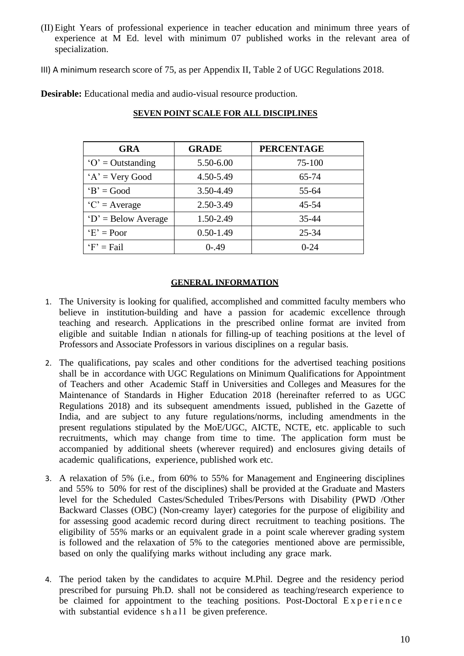(II) Eight Years of professional experience in teacher education and minimum three years of experience at M Ed. level with minimum 07 published works in the relevant area of specialization.

III) A minimum research score of 75, as per Appendix II, Table 2 of UGC Regulations 2018.

**Desirable:** Educational media and audio-visual resource production.

| <b>GRA</b>                           | <b>GRADE</b>  | <b>PERCENTAGE</b> |
|--------------------------------------|---------------|-------------------|
| $\mathbf{O}' = \mathbf{Outstanding}$ | 5.50-6.00     | $75 - 100$        |
| $A' = Very Good$                     | 4.50-5.49     | 65-74             |
| $B' = Good$                          | 3.50-4.49     | 55-64             |
| $C' = Average$                       | 2.50-3.49     | $45 - 54$         |
| $D' = Below Average$                 | 1.50-2.49     | 35-44             |
| $E' = Poor$                          | $0.50 - 1.49$ | $25 - 34$         |
| $F' = Fail$                          | $0 - .49$     | $0 - 24$          |

## **SEVEN POINT SCALE FOR ALL DISCIPLINES**

#### **GENERAL INFORMATION**

- 1. The University is looking for qualified, accomplished and committed faculty members who believe in institution-building and have a passion for academic excellence through teaching and research. Applications in the prescribed online format are invited from eligible and suitable Indian n ationals for filling-up of teaching positions at the level of Professors and Associate Professors in various disciplines on a regular basis.
- 2. The qualifications, pay scales and other conditions for the advertised teaching positions shall be in accordance with UGC Regulations on Minimum Qualifications for Appointment of Teachers and other Academic Staff in Universities and Colleges and Measures for the Maintenance of Standards in Higher Education 2018 (hereinafter referred to as UGC Regulations 2018) and its subsequent amendments issued, published in the Gazette of India, and are subject to any future regulations/norms, including amendments in the present regulations stipulated by the MoE/UGC, AICTE, NCTE, etc. applicable to such recruitments, which may change from time to time. The application form must be accompanied by additional sheets (wherever required) and enclosures giving details of academic qualifications, experience, published work etc.
- 3. A relaxation of 5% (i.e., from 60% to 55% for Management and Engineering disciplines and 55% to 50% for rest of the disciplines) shall be provided at the Graduate and Masters level for the Scheduled Castes/Scheduled Tribes/Persons with Disability (PWD /Other Backward Classes (OBC) (Non-creamy layer) categories for the purpose of eligibility and for assessing good academic record during direct recruitment to teaching positions. The eligibility of 55% marks or an equivalent grade in a point scale wherever grading system is followed and the relaxation of 5% to the categories mentioned above are permissible, based on only the qualifying marks without including any grace mark.
- 4. The period taken by the candidates to acquire M.Phil. Degree and the residency period prescribed for pursuing Ph.D. shall not be considered as teaching/research experience to be claimed for appointment to the teaching positions. Post-Doctoral  $Experi$  e  $n \in \mathbb{R}$ with substantial evidence  $s \, h \, a \, l \, l$  be given preference.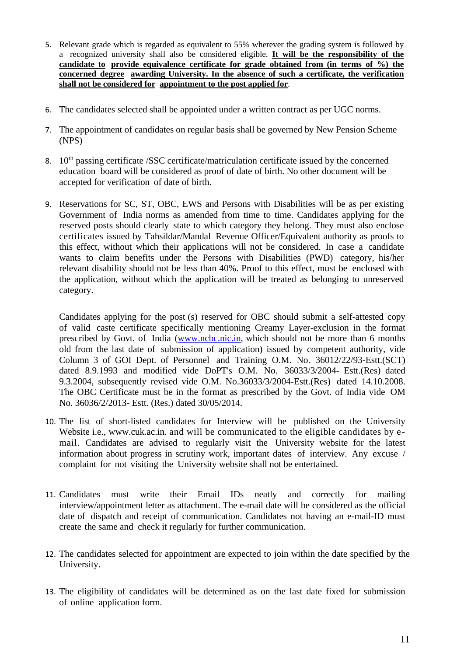- 5. Relevant grade which is regarded as equivalent to 55% wherever the grading system is followed by a recognized university shall also be considered eligible. **It will be the responsibility of the candidate to provide equivalence certificate for grade obtained from (in terms of %) the concerned degree awarding University. In the absence of such a certificate, the verification shall not be considered for appointment to the post applied for**.
- 6. The candidates selected shall be appointed under a written contract as per UGC norms.
- 7. The appointment of candidates on regular basis shall be governed by New Pension Scheme (NPS)
- 8. 10<sup>th</sup> passing certificate /SSC certificate/matriculation certificate issued by the concerned education board will be considered as proof of date of birth. No other document will be accepted for verification of date of birth.
- 9. Reservations for SC, ST, OBC, EWS and Persons with Disabilities will be as per existing Government of India norms as amended from time to time. Candidates applying for the reserved posts should clearly state to which category they belong. They must also enclose certificates issued by Tahsildar/Mandal Revenue Officer/Equivalent authority as proofs to this effect, without which their applications will not be considered. In case a candidate wants to claim benefits under the Persons with Disabilities (PWD) category, his/her relevant disability should not be less than 40%. Proof to this effect, must be enclosed with the application, without which the application will be treated as belonging to unreserved category.

Candidates applying for the post (s) reserved for OBC should submit a self-attested copy of valid caste certificate specifically mentioning Creamy Layer-exclusion in the format prescribed by Govt. of India [\(www.ncbc.nic.in,](http://www.ncbc.nic.in/) which should not be more than 6 months old from the last date of submission of application) issued by competent authority, vide Column 3 of GOI Dept. of Personnel and Training O.M. No. 36012/22/93-Estt.(SCT) dated 8.9.1993 and modified vide DoPT's O.M. No. 36033/3/2004- Estt.(Res) dated 9.3.2004, subsequently revised vide O.M. No.36033/3/2004-Estt.(Res) dated 14.10.2008. The OBC Certificate must be in the format as prescribed by the Govt. of India vide OM No. 36036/2/2013- Estt. (Res.) dated 30/05/2014.

- 10. The list of short-listed candidates for Interview will be published on the University Website i.e., [www.cuk.ac.in.](http://www.cuk.ac.in/) and will be communicated to the eligible candidates by email. Candidates are advised to regularly visit the University website for the latest information about progress in scrutiny work, important dates of interview. Any excuse / complaint for not visiting the University website shall not be entertained.
- 11. Candidates must write their Email IDs neatly and correctly for mailing interview/appointment letter as attachment. The e-mail date will be considered as the official date of dispatch and receipt of communication. Candidates not having an e-mail-ID must create the same and check it regularly for further communication.
- 12. The candidates selected for appointment are expected to join within the date specified by the University.
- 13. The eligibility of candidates will be determined as on the last date fixed for submission of online application form.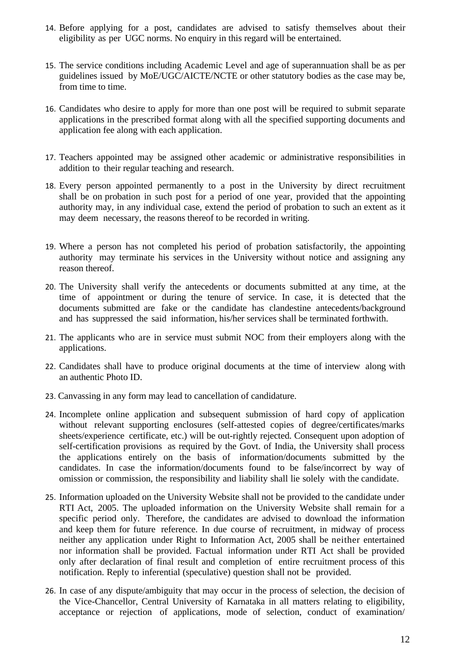- 14. Before applying for a post, candidates are advised to satisfy themselves about their eligibility as per UGC norms. No enquiry in this regard will be entertained.
- 15. The service conditions including Academic Level and age of superannuation shall be as per guidelines issued by MoE/UGC/AICTE/NCTE or other statutory bodies as the case may be, from time to time.
- 16. Candidates who desire to apply for more than one post will be required to submit separate applications in the prescribed format along with all the specified supporting documents and application fee along with each application.
- 17. Teachers appointed may be assigned other academic or administrative responsibilities in addition to their regular teaching and research.
- 18. Every person appointed permanently to a post in the University by direct recruitment shall be on probation in such post for a period of one year, provided that the appointing authority may, in any individual case, extend the period of probation to such an extent as it may deem necessary, the reasons thereof to be recorded in writing.
- 19. Where a person has not completed his period of probation satisfactorily, the appointing authority may terminate his services in the University without notice and assigning any reason thereof.
- 20. The University shall verify the antecedents or documents submitted at any time, at the time of appointment or during the tenure of service. In case, it is detected that the documents submitted are fake or the candidate has clandestine antecedents/background and has suppressed the said information, his/her services shall be terminated forthwith.
- 21. The applicants who are in service must submit NOC from their employers along with the applications.
- 22. Candidates shall have to produce original documents at the time of interview along with an authentic Photo ID.
- 23. Canvassing in any form may lead to cancellation of candidature.
- 24. Incomplete online application and subsequent submission of hard copy of application without relevant supporting enclosures (self-attested copies of degree/certificates/marks sheets/experience certificate, etc.) will be out-rightly rejected. Consequent upon adoption of self-certification provisions as required by the Govt. of India, the University shall process the applications entirely on the basis of information/documents submitted by the candidates. In case the information/documents found to be false/incorrect by way of omission or commission, the responsibility and liability shall lie solely with the candidate.
- 25. Information uploaded on the University Website shall not be provided to the candidate under RTI Act, 2005. The uploaded information on the University Website shall remain for a specific period only. Therefore, the candidates are advised to download the information and keep them for future reference. In due course of recruitment, in midway of process neither any application under Right to Information Act, 2005 shall be neither entertained nor information shall be provided. Factual information under RTI Act shall be provided only after declaration of final result and completion of entire recruitment process of this notification. Reply to inferential (speculative) question shall not be provided.
- 26. In case of any dispute/ambiguity that may occur in the process of selection, the decision of the Vice-Chancellor, Central University of Karnataka in all matters relating to eligibility, acceptance or rejection of applications, mode of selection, conduct of examination/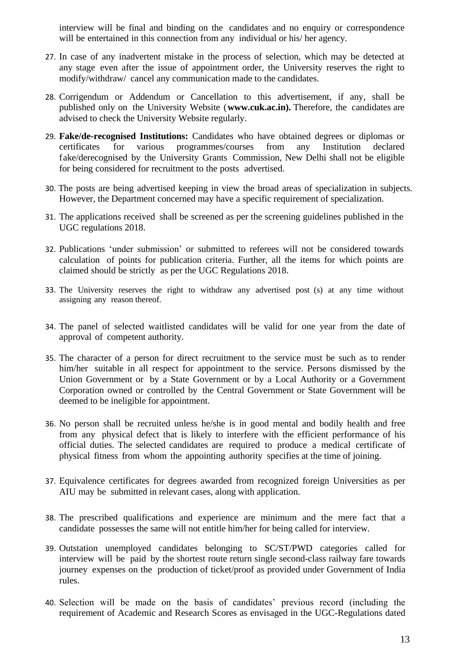interview will be final and binding on the candidates and no enquiry or correspondence will be entertained in this connection from any individual or his/ her agency.

- 27. In case of any inadvertent mistake in the process of selection, which may be detected at any stage even after the issue of appointment order, the University reserves the right to modify/withdraw/ cancel any communication made to the candidates.
- 28. Corrigendum or Addendum or Cancellation to this advertisement, if any, shall be published only on the University Website (**[www.cuk.ac.in\)](http://www.cuk.ac.in/).** Therefore, the candidates are advised to check the University Website regularly.
- 29. **Fake/de-recognised Institutions:** Candidates who have obtained degrees or diplomas or certificates for various programmes/courses from any Institution declared fake/derecognised by the University Grants Commission, New Delhi shall not be eligible for being considered for recruitment to the posts advertised.
- 30. The posts are being advertised keeping in view the broad areas of specialization in subjects. However, the Department concerned may have a specific requirement of specialization.
- 31. The applications received shall be screened as per the screening guidelines published in the UGC regulations 2018.
- 32. Publications 'under submission' or submitted to referees will not be considered towards calculation of points for publication criteria. Further, all the items for which points are claimed should be strictly as per the UGC Regulations 2018.
- 33. The University reserves the right to withdraw any advertised post (s) at any time without assigning any reason thereof.
- 34. The panel of selected waitlisted candidates will be valid for one year from the date of approval of competent authority.
- 35. The character of a person for direct recruitment to the service must be such as to render him/her suitable in all respect for appointment to the service. Persons dismissed by the Union Government or by a State Government or by a Local Authority or a Government Corporation owned or controlled by the Central Government or State Government will be deemed to be ineligible for appointment.
- 36. No person shall be recruited unless he/she is in good mental and bodily health and free from any physical defect that is likely to interfere with the efficient performance of his official duties. The selected candidates are required to produce a medical certificate of physical fitness from whom the appointing authority specifies at the time of joining.
- 37. Equivalence certificates for degrees awarded from recognized foreign Universities as per AIU may be submitted in relevant cases, along with application.
- 38. The prescribed qualifications and experience are minimum and the mere fact that a candidate possesses the same will not entitle him/her for being called for interview.
- 39. Outstation unemployed candidates belonging to SC/ST/PWD categories called for interview will be paid by the shortest route return single second-class railway fare towards journey expenses on the production of ticket/proof as provided under Government of India rules.
- 40. Selection will be made on the basis of candidates' previous record (including the requirement of Academic and Research Scores as envisaged in the UGC-Regulations dated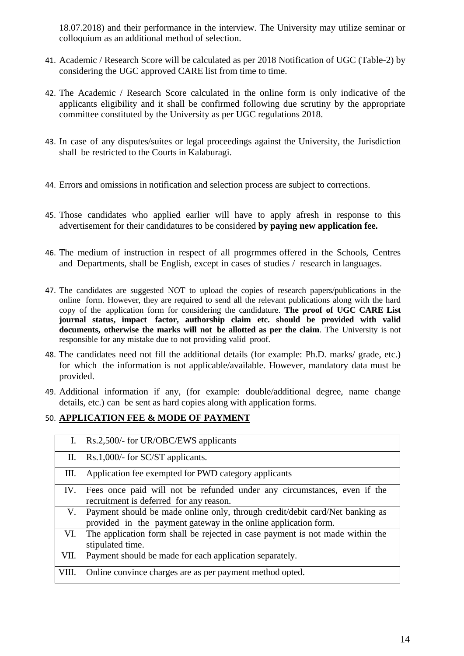18.07.2018) and their performance in the interview. The University may utilize seminar or colloquium as an additional method of selection.

- 41. Academic / Research Score will be calculated as per 2018 Notification of UGC (Table-2) by considering the UGC approved CARE list from time to time.
- 42. The Academic / Research Score calculated in the online form is only indicative of the applicants eligibility and it shall be confirmed following due scrutiny by the appropriate committee constituted by the University as per UGC regulations 2018.
- 43. In case of any disputes/suites or legal proceedings against the University, the Jurisdiction shall be restricted to the Courts in Kalaburagi.
- 44. Errors and omissions in notification and selection process are subject to corrections.
- 45. Those candidates who applied earlier will have to apply afresh in response to this advertisement for their candidatures to be considered **by paying new application fee.**
- 46. The medium of instruction in respect of all progrmmes offered in the Schools, Centres and Departments, shall be English, except in cases of studies / research in languages.
- 47. The candidates are suggested NOT to upload the copies of research papers/publications in the online form. However, they are required to send all the relevant publications along with the hard copy of the application form for considering the candidature. **The proof of UGC CARE List journal status, impact factor, authorship claim etc. should be provided with valid documents, otherwise the marks will not be allotted as per the claim**. The University is not responsible for any mistake due to not providing valid proof.
- 48. The candidates need not fill the additional details (for example: Ph.D. marks/ grade, etc.) for which the information is not applicable/available. However, mandatory data must be provided.
- 49. Additional information if any, (for example: double/additional degree, name change details, etc.) can be sent as hard copies along with application forms.

## 50. **APPLICATION FEE & MODE OF PAYMENT**

| L.    | Rs.2,500/- for UR/OBC/EWS applicants                                                                                                            |
|-------|-------------------------------------------------------------------------------------------------------------------------------------------------|
| П.    | Rs.1,000/- for SC/ST applicants.                                                                                                                |
| Ш.    | Application fee exempted for PWD category applicants                                                                                            |
| IV.   | Fees once paid will not be refunded under any circumstances, even if the<br>recruitment is deferred for any reason.                             |
| V.    | Payment should be made online only, through credit/debit card/Net banking as<br>provided in the payment gateway in the online application form. |
| VI.   | The application form shall be rejected in case payment is not made within the<br>stipulated time.                                               |
| VII.  | Payment should be made for each application separately.                                                                                         |
| VIII. | Online convince charges are as per payment method opted.                                                                                        |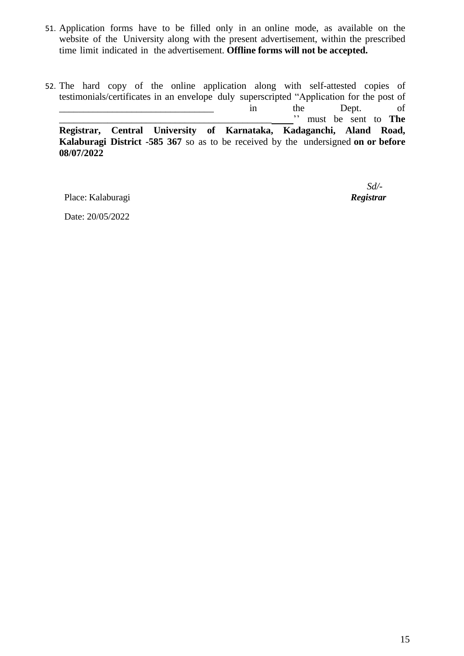- 51. Application forms have to be filled only in an online mode, as available on the website of the University along with the present advertisement, within the prescribed time limit indicated in the advertisement. **Offline forms will not be accepted.**
- 52. The hard copy of the online application along with self-attested copies of testimonials/certificates in an envelope duly superscripted "Application for the post of \_\_\_\_\_\_\_\_\_\_\_\_\_\_\_\_\_\_\_\_\_\_\_\_\_\_\_\_\_\_\_\_ in the Dept. of \_\_\_\_\_\_\_\_\_\_\_\_\_\_\_\_\_\_\_\_\_\_\_\_\_\_\_\_\_\_\_\_\_\_\_\_\_\_\_\_\_\_\_\_ '' must be sent to **The Registrar, Central University of Karnataka, Kadaganchi, Aland Road, Kalaburagi District -585 367** so as to be received by the undersigned **on or before 08/07/2022**

Place: Kalaburagi *Registrar*

*Sd/-*

Date: 20/05/2022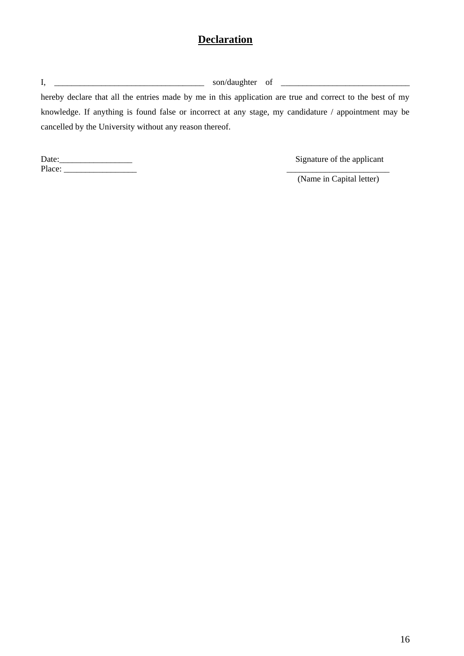# **Declaration**

| hereby declare that all the entries made by me in this application are true and correct to the best of my |
|-----------------------------------------------------------------------------------------------------------|
| knowledge. If anything is found false or incorrect at any stage, my candidature / appointment may be      |
| cancelled by the University without any reason thereof.                                                   |

| Date: | Signature of the applicant |
|-------|----------------------------|
| Place |                            |

Signature of the applicant

(Name in Capital letter)